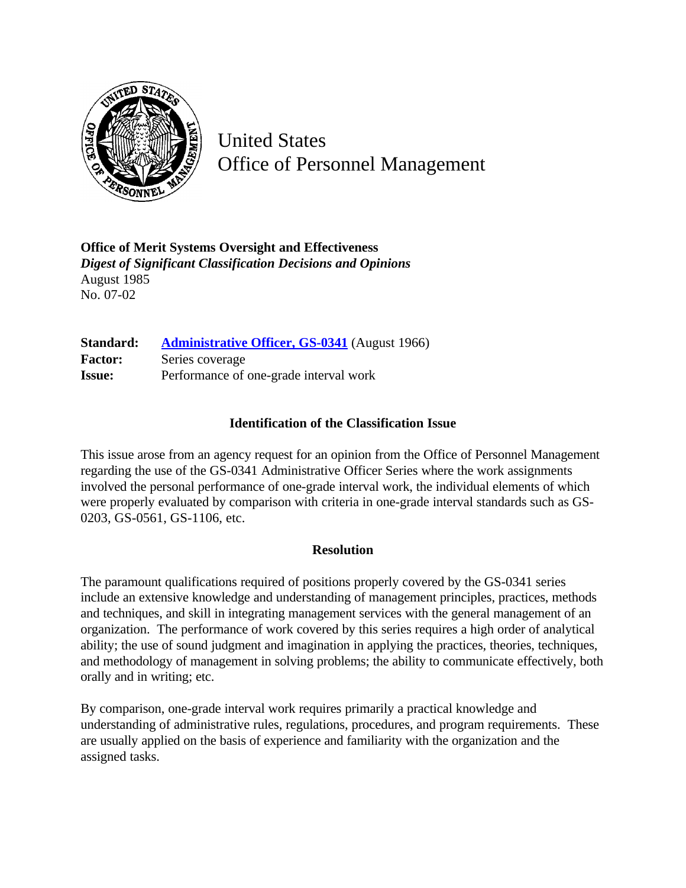

United States Office of Personnel Management

**Office of Merit Systems Oversight and Effectiveness** *Digest of Significant Classification Decisions and Opinions* August 1985 No. 07-02

**Standard: [Administrative Officer, GS-0341](http://www.opm.gov/hr/fedclass/gs0341.pdf)** (August 1966) Factor: Series coverage **Issue:** Performance of one-grade interval work

## **Identification of the Classification Issue**

This issue arose from an agency request for an opinion from the Office of Personnel Management regarding the use of the GS-0341 Administrative Officer Series where the work assignments involved the personal performance of one-grade interval work, the individual elements of which were properly evaluated by comparison with criteria in one-grade interval standards such as GS-0203, GS-0561, GS-1106, etc.

## **Resolution**

The paramount qualifications required of positions properly covered by the GS-0341 series include an extensive knowledge and understanding of management principles, practices, methods and techniques, and skill in integrating management services with the general management of an organization. The performance of work covered by this series requires a high order of analytical ability; the use of sound judgment and imagination in applying the practices, theories, techniques, and methodology of management in solving problems; the ability to communicate effectively, both orally and in writing; etc.

By comparison, one-grade interval work requires primarily a practical knowledge and understanding of administrative rules, regulations, procedures, and program requirements. These are usually applied on the basis of experience and familiarity with the organization and the assigned tasks.